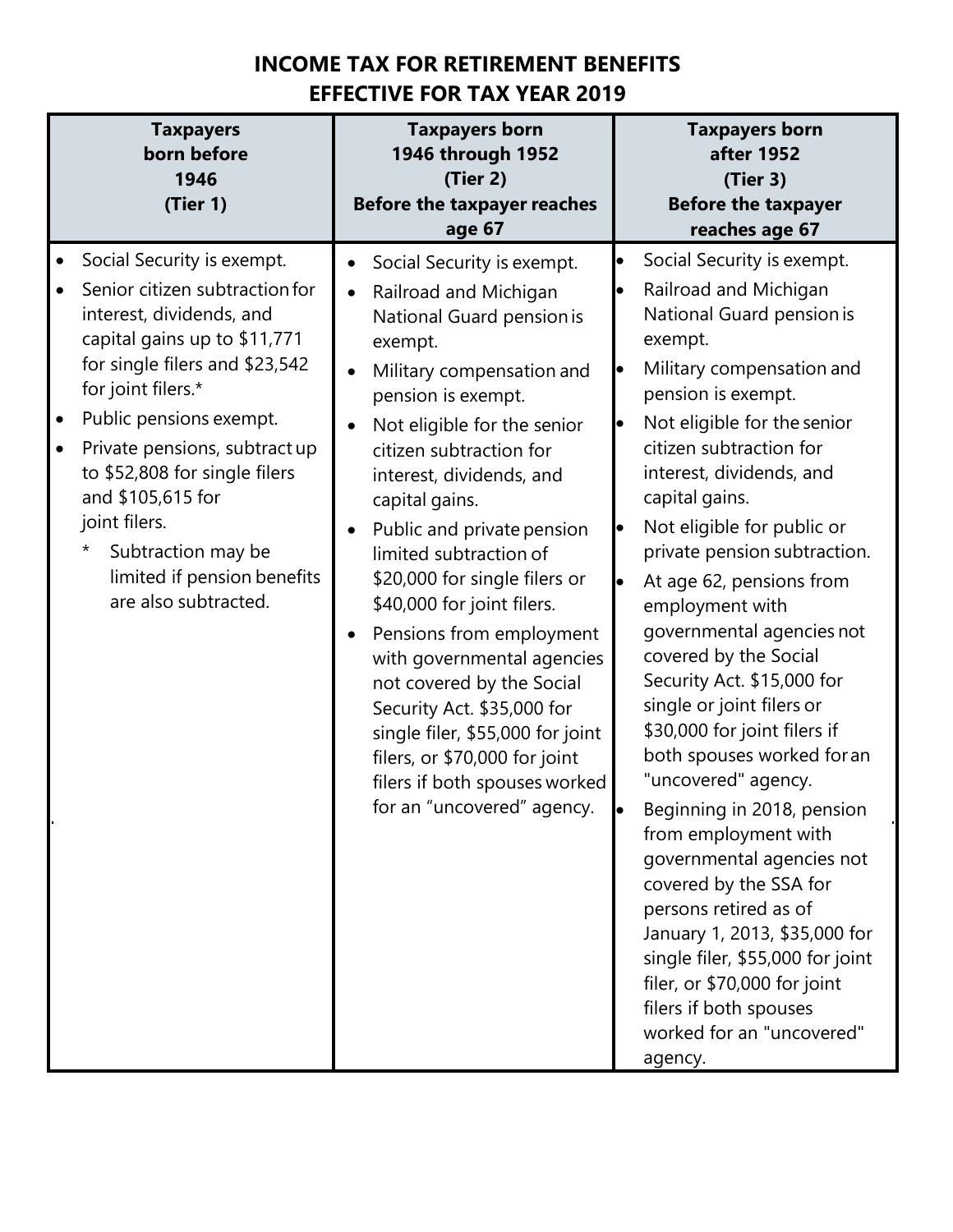## **INCOME TAX FOR RETIREMENT BENEFITS EFFECTIVE FOR TAX YEAR 2019**

| <b>Taxpayers</b><br>born before<br>1946<br>(Tier 1)                                                                                                                                                                                                                                                                                                                                                                                                | <b>Taxpayers born</b><br>1946 through 1952<br>(Tier 2)<br><b>Before the taxpayer reaches</b><br>age 67                                                                                                                                                                                                                                                                                                                                                                                                                                                                                                                                                           | <b>Taxpayers born</b><br>after 1952<br>(Tier 3)<br><b>Before the taxpayer</b><br>reaches age 67                                                                                                                                                                                                                                                                                                                                                                                                                                                                                                                                                                                                                                                                                                                                                                                                                                           |
|----------------------------------------------------------------------------------------------------------------------------------------------------------------------------------------------------------------------------------------------------------------------------------------------------------------------------------------------------------------------------------------------------------------------------------------------------|------------------------------------------------------------------------------------------------------------------------------------------------------------------------------------------------------------------------------------------------------------------------------------------------------------------------------------------------------------------------------------------------------------------------------------------------------------------------------------------------------------------------------------------------------------------------------------------------------------------------------------------------------------------|-------------------------------------------------------------------------------------------------------------------------------------------------------------------------------------------------------------------------------------------------------------------------------------------------------------------------------------------------------------------------------------------------------------------------------------------------------------------------------------------------------------------------------------------------------------------------------------------------------------------------------------------------------------------------------------------------------------------------------------------------------------------------------------------------------------------------------------------------------------------------------------------------------------------------------------------|
| Social Security is exempt.<br>$\bullet$<br>Senior citizen subtraction for<br>interest, dividends, and<br>capital gains up to \$11,771<br>for single filers and \$23,542<br>for joint filers.*<br>Public pensions exempt.<br>$\bullet$<br>Private pensions, subtract up<br>$\bullet$<br>to \$52,808 for single filers<br>and \$105,615 for<br>joint filers.<br>$\star$<br>Subtraction may be<br>limited if pension benefits<br>are also subtracted. | Social Security is exempt.<br>$\bullet$<br>Railroad and Michigan<br>National Guard pension is<br>exempt.<br>Military compensation and<br>$\bullet$<br>pension is exempt.<br>Not eligible for the senior<br>citizen subtraction for<br>interest, dividends, and<br>capital gains.<br>Public and private pension<br>limited subtraction of<br>\$20,000 for single filers or<br>\$40,000 for joint filers.<br>Pensions from employment<br>with governmental agencies<br>not covered by the Social<br>Security Act. \$35,000 for<br>single filer, \$55,000 for joint<br>filers, or \$70,000 for joint<br>filers if both spouses worked<br>for an "uncovered" agency. | Social Security is exempt.<br>$\bullet$<br>Railroad and Michigan<br>National Guard pension is<br>exempt.<br>Military compensation and<br>$\bullet$<br>pension is exempt.<br>Not eligible for the senior<br>lo<br>citizen subtraction for<br>interest, dividends, and<br>capital gains.<br>Not eligible for public or<br>$\bullet$<br>private pension subtraction.<br>At age 62, pensions from<br>le<br>employment with<br>governmental agencies not<br>covered by the Social<br>Security Act. \$15,000 for<br>single or joint filers or<br>\$30,000 for joint filers if<br>both spouses worked for an<br>"uncovered" agency.<br>Beginning in 2018, pension<br>from employment with<br>governmental agencies not<br>covered by the SSA for<br>persons retired as of<br>January 1, 2013, \$35,000 for<br>single filer, \$55,000 for joint<br>filer, or \$70,000 for joint<br>filers if both spouses<br>worked for an "uncovered"<br>agency. |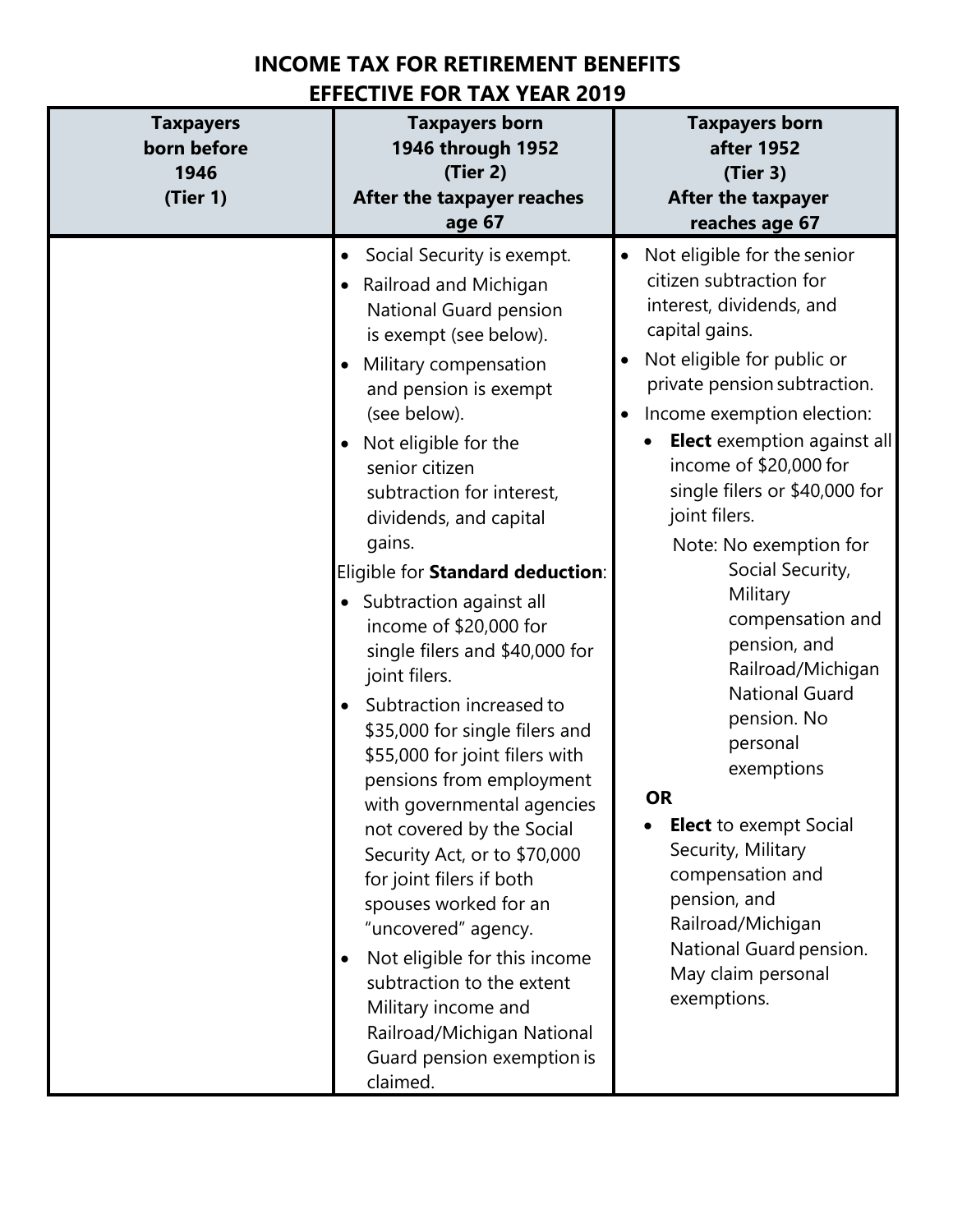## **INCOME TAX FOR RETIREMENT BENEFITS EFFECTIVE FOR TAX YEAR 2019**

| <b>Taxpayers</b><br>born before<br>1946<br>(Tier 1) | <b>Taxpayers born</b><br>1946 through 1952<br>(Tier 2)<br>After the taxpayer reaches<br>age 67                                                                                                                                                                                                                                                                                                                                                                                                                                                                                                                                                                                                                                                                                                                                                                                                                    | <b>Taxpayers born</b><br>after 1952<br>(Tier 3)<br>After the taxpayer<br>reaches age 67                                                                                                                                                                                                                                                                                                                                                                                                                                                                                                                                                                                                                    |
|-----------------------------------------------------|-------------------------------------------------------------------------------------------------------------------------------------------------------------------------------------------------------------------------------------------------------------------------------------------------------------------------------------------------------------------------------------------------------------------------------------------------------------------------------------------------------------------------------------------------------------------------------------------------------------------------------------------------------------------------------------------------------------------------------------------------------------------------------------------------------------------------------------------------------------------------------------------------------------------|------------------------------------------------------------------------------------------------------------------------------------------------------------------------------------------------------------------------------------------------------------------------------------------------------------------------------------------------------------------------------------------------------------------------------------------------------------------------------------------------------------------------------------------------------------------------------------------------------------------------------------------------------------------------------------------------------------|
|                                                     | Social Security is exempt.<br>Railroad and Michigan<br>National Guard pension<br>is exempt (see below).<br>Military compensation<br>and pension is exempt<br>(see below).<br>Not eligible for the<br>senior citizen<br>subtraction for interest,<br>dividends, and capital<br>gains.<br>Eligible for Standard deduction:<br>Subtraction against all<br>income of \$20,000 for<br>single filers and \$40,000 for<br>joint filers.<br>Subtraction increased to<br>$\bullet$<br>\$35,000 for single filers and<br>\$55,000 for joint filers with<br>pensions from employment<br>with governmental agencies<br>not covered by the Social<br>Security Act, or to \$70,000<br>for joint filers if both<br>spouses worked for an<br>"uncovered" agency.<br>Not eligible for this income<br>٠<br>subtraction to the extent<br>Military income and<br>Railroad/Michigan National<br>Guard pension exemption is<br>claimed. | Not eligible for the senior<br>$\bullet$<br>citizen subtraction for<br>interest, dividends, and<br>capital gains.<br>Not eligible for public or<br>private pension subtraction.<br>Income exemption election:<br>Elect exemption against all<br>income of \$20,000 for<br>single filers or \$40,000 for<br>joint filers.<br>Note: No exemption for<br>Social Security,<br>Military<br>compensation and<br>pension, and<br>Railroad/Michigan<br><b>National Guard</b><br>pension. No<br>personal<br>exemptions<br><b>OR</b><br><b>Elect</b> to exempt Social<br>Security, Military<br>compensation and<br>pension, and<br>Railroad/Michigan<br>National Guard pension.<br>May claim personal<br>exemptions. |